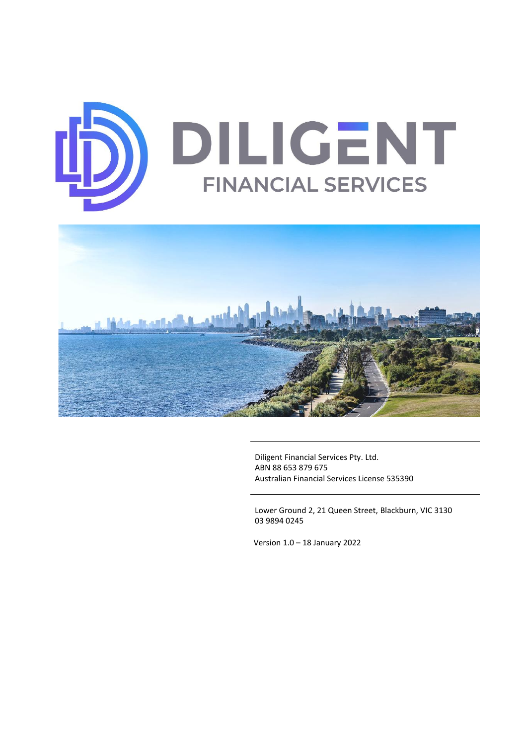



Diligent Financial Services Pty. Ltd. ABN 88 653 879 675 Australian Financial Services License 535390

Lower Ground 2, 21 Queen Street, Blackburn, VIC 3130 03 9894 0245

Version 1.0 – 18 January 2022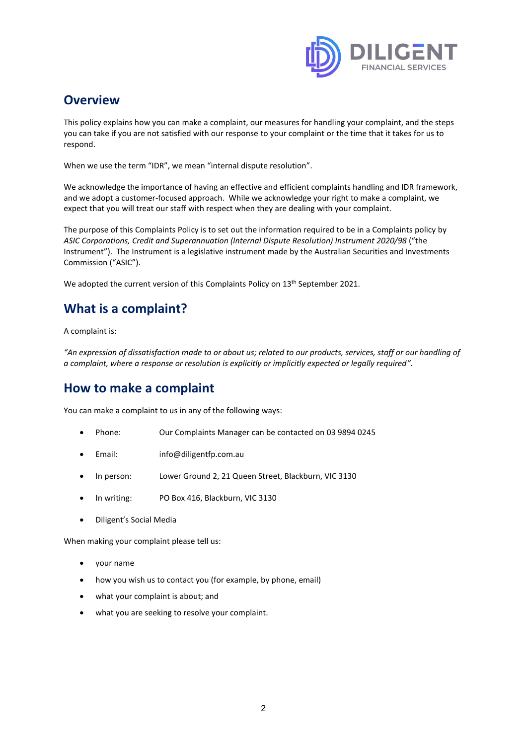

## **Overview**

This policy explains how you can make a complaint, our measures for handling your complaint, and the steps you can take if you are not satisfied with our response to your complaint or the time that it takes for us to respond.

When we use the term "IDR", we mean "internal dispute resolution".

We acknowledge the importance of having an effective and efficient complaints handling and IDR framework, and we adopt a customer-focused approach. While we acknowledge your right to make a complaint, we expect that you will treat our staff with respect when they are dealing with your complaint.

The purpose of this Complaints Policy is to set out the information required to be in a Complaints policy by *ASIC Corporations, Credit and Superannuation (Internal Dispute Resolution) Instrument 2020/98* ("the Instrument"). The Instrument is a legislative instrument made by the Australian Securities and Investments Commission ("ASIC").

We adopted the current version of this Complaints Policy on 13<sup>th</sup> September 2021.

# **What is a complaint?**

A complaint is:

*"An expression of dissatisfaction made to or about us; related to our products, services, staff or our handling of a complaint, where a response or resolution is explicitly or implicitly expected or legally required".*

## **How to make a complaint**

You can make a complaint to us in any of the following ways:

- Phone: Our Complaints Manager can be contacted on 03 9894 0245
- Email: info@diligentfp.com.au
- In person: Lower Ground 2, 21 Queen Street, Blackburn, VIC 3130
- In writing: PO Box 416, Blackburn, VIC 3130
- Diligent's Social Media

When making your complaint please tell us:

- your name
- how you wish us to contact you (for example, by phone, email)
- what your complaint is about; and
- what you are seeking to resolve your complaint.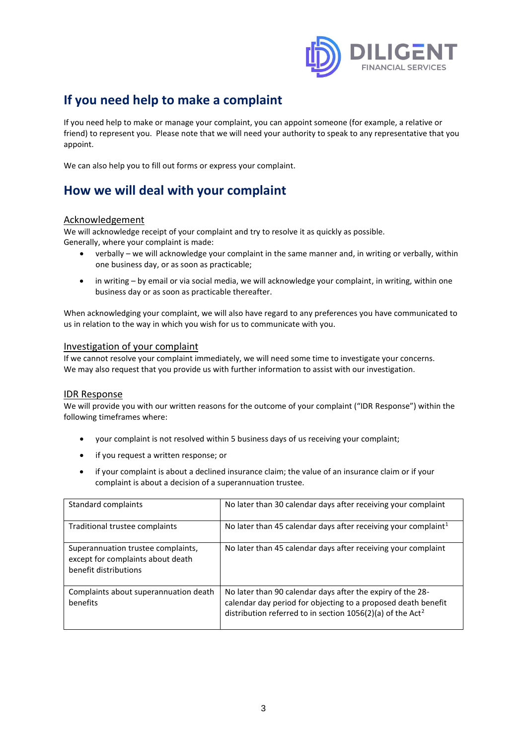

# **If you need help to make a complaint**

If you need help to make or manage your complaint, you can appoint someone (for example, a relative or friend) to represent you. Please note that we will need your authority to speak to any representative that you appoint.

We can also help you to fill out forms or express your complaint.

## **How we will deal with your complaint**

### Acknowledgement

We will acknowledge receipt of your complaint and try to resolve it as quickly as possible. Generally, where your complaint is made:

- verbally we will acknowledge your complaint in the same manner and, in writing or verbally, within one business day, or as soon as practicable;
- in writing by email or via social media, we will acknowledge your complaint, in writing, within one business day or as soon as practicable thereafter.

When acknowledging your complaint, we will also have regard to any preferences you have communicated to us in relation to the way in which you wish for us to communicate with you.

### Investigation of your complaint

If we cannot resolve your complaint immediately, we will need some time to investigate your concerns. We may also request that you provide us with further information to assist with our investigation.

#### IDR Response

We will provide you with our written reasons for the outcome of your complaint ("IDR Response") within the following timeframes where:

- your complaint is not resolved within 5 business days of us receiving your complaint;
- if you request a written response; or
- if your complaint is about a declined insurance claim; the value of an insurance claim or if your complaint is about a decision of a superannuation trustee.

| Standard complaints                                                                              | No later than 30 calendar days after receiving your complaint                                                                                                                                         |
|--------------------------------------------------------------------------------------------------|-------------------------------------------------------------------------------------------------------------------------------------------------------------------------------------------------------|
| Traditional trustee complaints                                                                   | No later than 45 calendar days after receiving your complaint <sup>1</sup>                                                                                                                            |
| Superannuation trustee complaints,<br>except for complaints about death<br>benefit distributions | No later than 45 calendar days after receiving your complaint                                                                                                                                         |
| Complaints about superannuation death<br>benefits                                                | No later than 90 calendar days after the expiry of the 28-<br>calendar day period for objecting to a proposed death benefit<br>distribution referred to in section 1056(2)(a) of the Act <sup>2</sup> |